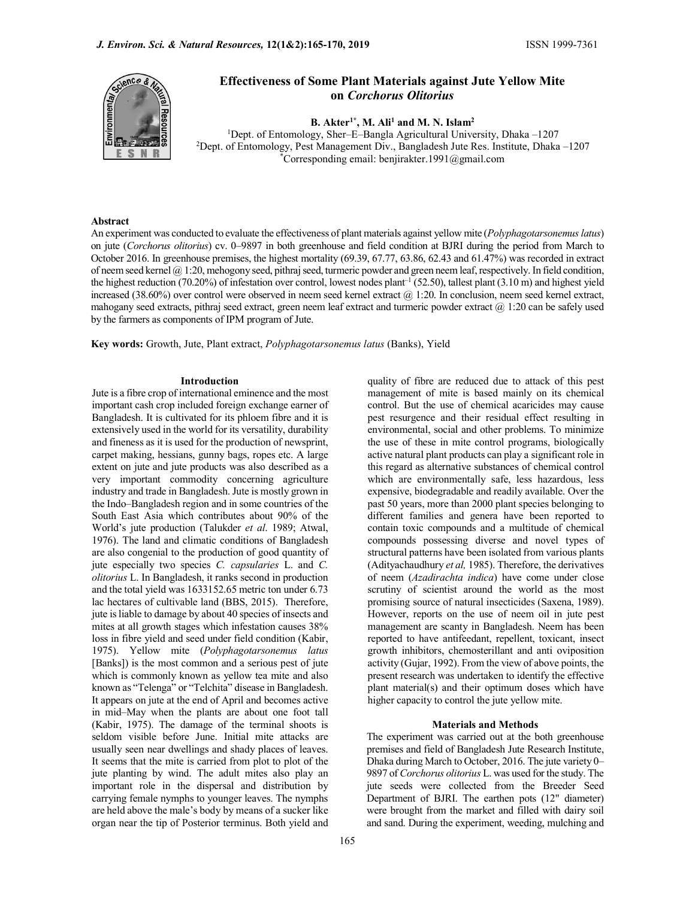

# Effectiveness of Some Plant Materials against Jute Yellow Mite on Corchorus Olitorius

B. Akter<sup>1\*</sup>, M. Ali<sup>1</sup> and M. N. Islam<sup>2</sup> <sup>1</sup>Dept. of Entomology, Sher–E–Bangla Agricultural University, Dhaka –1207<br><sup>2</sup>Dept. of Entomology, Pest Management Div., Bangladesh Jute Res. Institute, Dhaka –1207<br><sup>\*</sup>Corresponding email: benjirakter.1991@gmail.com

#### Abstract

An experiment was conducted to evaluate the effectiveness of plant materials against yellow mite (*Polyphagotarsonemus latus*) on jute (Corchorus olitorius) cv. 0–9897 in both greenhouse and field condition at BJRI during the period from March to October 2016. In greenhouse premises, the highest mortality (69.39, 67.77, 63.86, 62.43 and 61.47%) was recorded in extract of neem seed kernel  $(a)$  1:20, mehogony seed, pithraj seed, turmeric powder and green neem leaf, respectively. In field condition, the highest reduction (70.20%) of infestation over control, lowest nodes plant<sup>-1</sup> (52.50), tallest plant (3.10 m) and highest yield increased (38.60%) over control were observed in neem seed kernel extract @ 1:20. In conclusion, neem seed kernel extract, mahogany seed extracts, pithraj seed extract, green neem leaf extract and turmeric powder extract  $\omega$  1:20 can be safely used by the farmers as components of IPM program of Jute.

Key words: Growth, Jute, Plant extract, Polyphagotarsonemus latus (Banks), Yield

#### Introduction

Jute is a fibre crop of international eminence and the most important cash crop included foreign exchange earner of Bangladesh. It is cultivated for its phloem fibre and it is extensively used in the world for its versatility, durability and fineness as it is used for the production of newsprint, carpet making, hessians, gunny bags, ropes etc. A large extent on jute and jute products was also described as a very important commodity concerning agriculture industry and trade in Bangladesh. Jute is mostly grown in the Indo–Bangladesh region and in some countries of the South East Asia which contributes about 90% of the World's jute production (Talukder et al. 1989; Atwal, 1976). The land and climatic conditions of Bangladesh are also congenial to the production of good quantity of jute especially two species C. capsularies L. and C. olitorius L. In Bangladesh, it ranks second in production and the total yield was 1633152.65 metric ton under 6.73 lac hectares of cultivable land (BBS, 2015). Therefore, jute is liable to damage by about 40 species of insects and mites at all growth stages which infestation causes 38% loss in fibre yield and seed under field condition (Kabir, 1975). Yellow mite (Polyphagotarsonemus latus [Banks]) is the most common and a serious pest of jute which is commonly known as yellow tea mite and also known as "Telenga" or "Telchita" disease in Bangladesh. It appears on jute at the end of April and becomes active in mid–May when the plants are about one foot tall (Kabir, 1975). The damage of the terminal shoots is seldom visible before June. Initial mite attacks are usually seen near dwellings and shady places of leaves. It seems that the mite is carried from plot to plot of the jute planting by wind. The adult mites also play an important role in the dispersal and distribution by carrying female nymphs to younger leaves. The nymphs are held above the male's body by means of a sucker like organ near the tip of Posterior terminus. Both yield and

quality of fibre are reduced due to attack of this pest management of mite is based mainly on its chemical control. But the use of chemical acaricides may cause pest resurgence and their residual effect resulting in environmental, social and other problems. To minimize the use of these in mite control programs, biologically active natural plant products can play a significant role in this regard as alternative substances of chemical control which are environmentally safe, less hazardous, less expensive, biodegradable and readily available. Over the past 50 years, more than 2000 plant species belonging to different families and genera have been reported to contain toxic compounds and a multitude of chemical compounds possessing diverse and novel types of structural patterns have been isolated from various plants (Adityachaudhury et al, 1985). Therefore, the derivatives of neem (Azadirachta indica) have come under close scrutiny of scientist around the world as the most promising source of natural insecticides (Saxena, 1989). However, reports on the use of neem oil in jute pest management are scanty in Bangladesh. Neem has been reported to have antifeedant, repellent, toxicant, insect growth inhibitors, chemosterillant and anti oviposition activity (Gujar, 1992). From the view of above points, the present research was undertaken to identify the effective plant material(s) and their optimum doses which have higher capacity to control the jute yellow mite.

### Materials and Methods

The experiment was carried out at the both greenhouse premises and field of Bangladesh Jute Research Institute, Dhaka during March to October, 2016. The jute variety 0– 9897 of Corchorus olitorius L. was used for the study. The jute seeds were collected from the Breeder Seed Department of BJRI. The earthen pots (12" diameter) were brought from the market and filled with dairy soil and sand. During the experiment, weeding, mulching and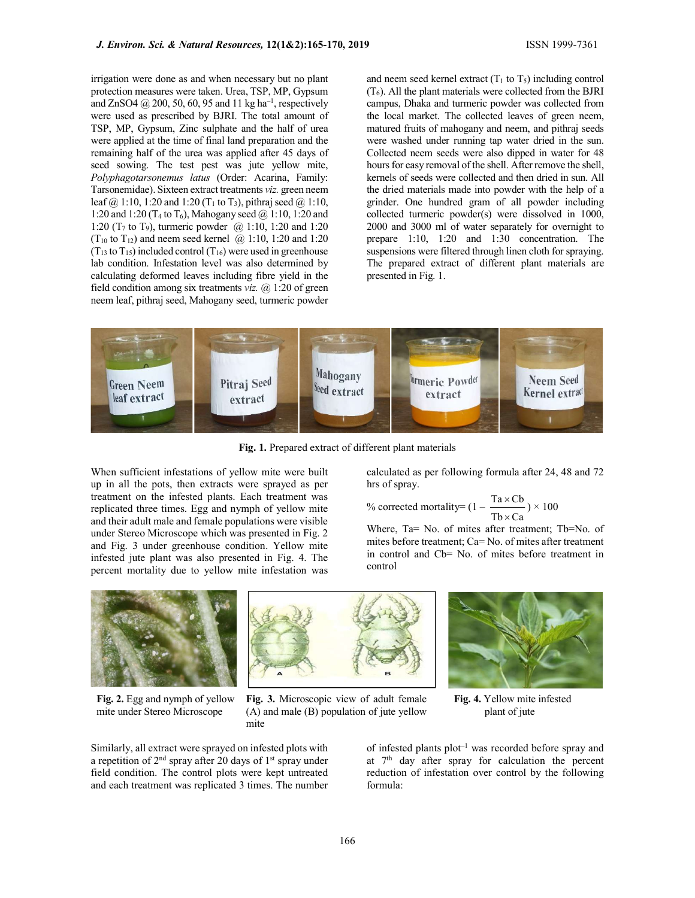irrigation were done as and when necessary but no plant protection measures were taken. Urea, TSP, MP, Gypsum and ZnSO4  $\omega$  200, 50, 60, 95 and 11 kg ha<sup>-1</sup>, respectively were used as prescribed by BJRI. The total amount of TSP, MP, Gypsum, Zinc sulphate and the half of urea were applied at the time of final land preparation and the remaining half of the urea was applied after 45 days of seed sowing. The test pest was jute yellow mite, Polyphagotarsonemus latus (Order: Acarina, Family: Tarsonemidae). Sixteen extract treatments viz. green neem leaf  $@ 1:10$ , 1:20 and 1:20 (T<sub>1</sub> to T<sub>3</sub>), pithraj seed  $@ 1:10$ , 1:20 and 1:20 (T<sub>4</sub> to T<sub>6</sub>), Mahogany seed  $\omega$  1:10, 1:20 and 1:20 (T<sub>7</sub> to T<sub>9</sub>), turmeric powder  $@.1:10$ , 1:20 and 1:20 (T<sub>10</sub> to T<sub>12</sub>) and neem seed kernel  $\omega$  1:10, 1:20 and 1:20  $(T_{13}$  to  $T_{15}$ ) included control  $(T_{16})$  were used in greenhouse lab condition. Infestation level was also determined by calculating deformed leaves including fibre yield in the field condition among six treatments *viz*.  $\omega$  1:20 of green neem leaf, pithraj seed, Mahogany seed, turmeric powder and neem seed kernel extract  $(T_1 \text{ to } T_5)$  including control  $(T<sub>6</sub>)$ . All the plant materials were collected from the BJRI campus, Dhaka and turmeric powder was collected from the local market. The collected leaves of green neem, matured fruits of mahogany and neem, and pithraj seeds were washed under running tap water dried in the sun. Collected neem seeds were also dipped in water for 48 hours for easy removal of the shell. After remove the shell, kernels of seeds were collected and then dried in sun. All the dried materials made into powder with the help of a grinder. One hundred gram of all powder including collected turmeric powder(s) were dissolved in 1000, 2000 and 3000 ml of water separately for overnight to prepare 1:10, 1:20 and 1:30 concentration. The suspensions were filtered through linen cloth for spraying. The prepared extract of different plant materials are presented in Fig. 1.



Fig. 1. Prepared extract of different plant materials

When sufficient infestations of yellow mite were built up in all the pots, then extracts were sprayed as per treatment on the infested plants. Each treatment was replicated three times. Egg and nymph of yellow mite and their adult male and female populations were visible under Stereo Microscope which was presented in Fig. 2 and Fig. 3 under greenhouse condition. Yellow mite infested jute plant was also presented in Fig. 4. The percent mortality due to yellow mite infestation was

calculated as per following formula after 24, 48 and 72 hrs of spray.

% corrected mortality= 
$$
(1 - \frac{\text{Ta} \times \text{Cb}}{\text{Tb} \times \text{Ca}}) \times 100
$$

Where, Ta= No. of mites after treatment; Tb=No. of mites before treatment; Ca= No. of mites after treatment in control and Cb= No. of mites before treatment in control



Fig. 2. Egg and nymph of yellow mite under Stereo Microscope

(A) and male (B) population of jute yellow mite

Similarly, all extract were sprayed on infested plots with a repetition of  $2<sup>nd</sup>$  spray after 20 days of 1<sup>st</sup> spray under field condition. The control plots were kept untreated and each treatment was replicated 3 times. The number





of infested plants  $plot^{-1}$  was recorded before spray and at  $7<sup>th</sup>$  day after spray for calculation the percent reduction of infestation over control by the following formula: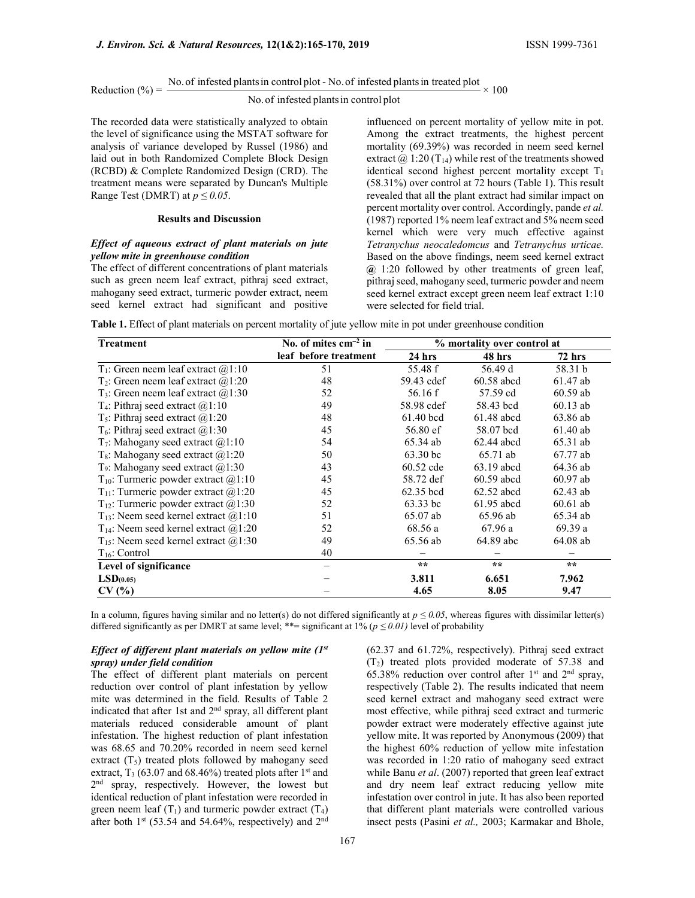Reduction (%) = No. of infected plants in control plot - No. of infected plants in treated plot 
$$
\times
$$
 100

# No.of infested plantsin control plot

The recorded data were statistically analyzed to obtain the level of significance using the MSTAT software for analysis of variance developed by Russel (1986) and laid out in both Randomized Complete Block Design (RCBD) & Complete Randomized Design (CRD). The treatment means were separated by Duncan's Multiple Range Test (DMRT) at  $p \le 0.05$ .

### Results and Discussion

# Effect of aqueous extract of plant materials on jute yellow mite in greenhouse condition

The effect of different concentrations of plant materials such as green neem leaf extract, pithraj seed extract, mahogany seed extract, turmeric powder extract, neem seed kernel extract had significant and positive influenced on percent mortality of yellow mite in pot. Among the extract treatments, the highest percent mortality (69.39%) was recorded in neem seed kernel extract  $\omega$  1:20 (T<sub>14</sub>) while rest of the treatments showed identical second highest percent mortality except  $T_1$ (58.31%) over control at 72 hours (Table 1). This result revealed that all the plant extract had similar impact on percent mortality over control. Accordingly, pande et al. (1987) reported 1% neem leaf extract and 5% neem seed kernel which were very much effective against Tetranychus neocaledomcus and Tetranychus urticae. Based on the above findings, neem seed kernel extract  $\omega$  1:20 followed by other treatments of green leaf, pithraj seed, mahogany seed, turmeric powder and neem seed kernel extract except green neem leaf extract 1:10 were selected for field trial.

Table 1. Effect of plant materials on percent mortality of jute yellow mite in pot under greenhouse condition

| <b>Treatment</b>                                     | No. of mites $cm-2$ in | % mortality over control at |              |               |  |
|------------------------------------------------------|------------------------|-----------------------------|--------------|---------------|--|
|                                                      | leaf before treatment  | 24 hrs                      | 48 hrs       | <b>72 hrs</b> |  |
| T <sub>1</sub> : Green neem leaf extract $@1:10$     | 51                     | 55.48 f                     | 56.49 d      | 58.31 b       |  |
| $T_2$ : Green neem leaf extract $(2, 1:20)$          | 48                     | 59.43 cdef                  | $60.58$ abcd | 61.47 ab      |  |
| $T_3$ : Green neem leaf extract $(2, 1:30)$          | 52                     | 56.16 f                     | 57.59 cd     | $60.59$ ab    |  |
| T <sub>4</sub> : Pithraj seed extract $(a)$ 1:10     | 49                     | 58.98 cdef                  | 58.43 bcd    | $60.13$ ab    |  |
| $T_5$ : Pithraj seed extract $\omega(1:20)$          | 48<br>$61.40$ bcd      |                             | $61.48$ abcd | 63.86 ab      |  |
| $T_6$ : Pithraj seed extract $(21:30)$               | 45                     | $56.80 \text{ ef}$          | 58.07 bcd    | $61.40$ ab    |  |
| $T_7$ : Mahogany seed extract $(21:10)$              | 54                     | 65.34 ab                    | $62.44$ abcd | 65.31 ab      |  |
| T <sub>8</sub> : Mahogany seed extract $@1:20$       | 50                     | 63.30 bc                    | 65.71 ab     | 67.77 ab      |  |
| T <sub>9</sub> : Mahogany seed extract $(21:30)$     | 43                     | 60.52 cde                   | $63.19$ abcd | 64.36 ab      |  |
| $T_{10}$ : Turmeric powder extract $@1:10$           | 45                     | 58.72 def                   | $60.59$ abcd | $60.97$ ab    |  |
| $T_{11}$ : Turmeric powder extract @1:20             | 45                     | 62.35 bcd                   | $62.52$ abcd | $62.43$ ab    |  |
| T <sub>12</sub> : Turmeric powder extract $(2,1:30)$ | 52                     | $63.33$ bc                  | $61.95$ abcd | $60.61$ ab    |  |
| $T_{13}$ : Neem seed kernel extract $@1:10$          | 51                     | $65.07$ ab                  | 65.96 ab     | 65.34 ab      |  |
| $T_{14}$ : Neem seed kernel extract @1:20            | 52                     | 68.56 a                     | 67.96a       | 69.39 a       |  |
| $T_{15}$ : Neem seed kernel extract @1:30            | 49                     | 65.56 ab                    | 64.89 abc    | 64.08 ab      |  |
| $T_{16}$ : Control                                   | 40                     |                             |              |               |  |
| Level of significance                                |                        | $\star \star$               | $\star\star$ | $**$          |  |
| LSD <sub>(0.05)</sub>                                |                        | 3.811                       | 6.651        | 7.962         |  |
| CV(%                                                 |                        | 4.65                        | 8.05         | 9.47          |  |

In a column, figures having similar and no letter(s) do not differed significantly at  $p \le 0.05$ , whereas figures with dissimilar letter(s) differed significantly as per DMRT at same level; \*\*= significant at  $1\%$  ( $p \le 0.01$ ) level of probability

# Effect of different plant materials on yellow mite  $(I<sup>st</sup>)$ spray) under field condition

The effect of different plant materials on percent reduction over control of plant infestation by yellow mite was determined in the field. Results of Table 2 indicated that after 1st and 2<sup>nd</sup> spray, all different plant materials reduced considerable amount of plant infestation. The highest reduction of plant infestation was 68.65 and 70.20% recorded in neem seed kernel extract  $(T_5)$  treated plots followed by mahogany seed extract,  $T_3$  (63.07 and 68.46%) treated plots after 1<sup>st</sup> and 2<sup>nd</sup> spray, respectively. However, the lowest but identical reduction of plant infestation were recorded in green neem leaf  $(T_1)$  and turmeric powder extract  $(T_4)$ after both  $1<sup>st</sup>$  (53.54 and 54.64%, respectively) and  $2<sup>nd</sup>$ 

(62.37 and 61.72%, respectively). Pithraj seed extract (T2) treated plots provided moderate of 57.38 and 65.38% reduction over control after  $1<sup>st</sup>$  and  $2<sup>nd</sup>$  spray, respectively (Table 2). The results indicated that neem seed kernel extract and mahogany seed extract were most effective, while pithraj seed extract and turmeric powder extract were moderately effective against jute yellow mite. It was reported by Anonymous (2009) that the highest 60% reduction of yellow mite infestation was recorded in 1:20 ratio of mahogany seed extract while Banu *et al.* (2007) reported that green leaf extract and dry neem leaf extract reducing yellow mite infestation over control in jute. It has also been reported that different plant materials were controlled various insect pests (Pasini et al., 2003; Karmakar and Bhole,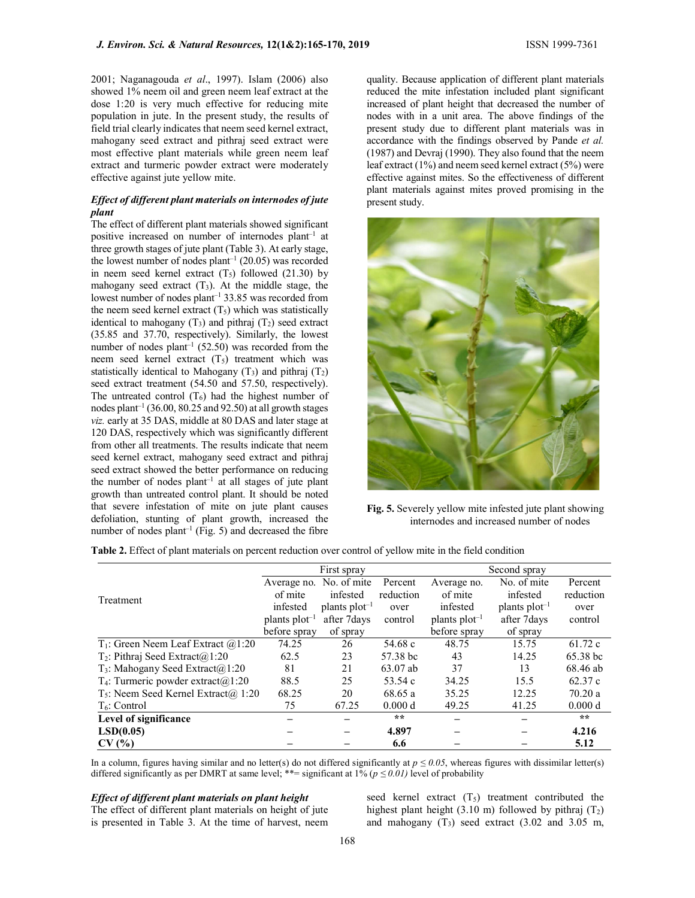2001; Naganagouda et al., 1997). Islam (2006) also showed 1% neem oil and green neem leaf extract at the dose 1:20 is very much effective for reducing mite population in jute. In the present study, the results of field trial clearly indicates that neem seed kernel extract, mahogany seed extract and pithraj seed extract were most effective plant materials while green neem leaf extract and turmeric powder extract were moderately effective against jute yellow mite.

# Effect of different plant materials on internodes of jute plant

The effect of different plant materials showed significant positive increased on number of internodes plant–1 at three growth stages of jute plant (Table 3). At early stage, the lowest number of nodes  $plant^{-1}$  (20.05) was recorded in neem seed kernel extract  $(T_5)$  followed  $(21.30)$  by mahogany seed extract  $(T_3)$ . At the middle stage, the lowest number of nodes plant–1 33.85 was recorded from the neem seed kernel extract  $(T_5)$  which was statistically identical to mahogany  $(T_3)$  and pithraj  $(T_2)$  seed extract (35.85 and 37.70, respectively). Similarly, the lowest number of nodes plant<sup>-1</sup> (52.50) was recorded from the neem seed kernel extract  $(T_5)$  treatment which was statistically identical to Mahogany  $(T_3)$  and pithraj  $(T_2)$ seed extract treatment (54.50 and 57.50, respectively). The untreated control  $(T_6)$  had the highest number of nodes plant<sup>-1</sup> (36.00, 80.25 and 92.50) at all growth stages viz. early at 35 DAS, middle at 80 DAS and later stage at 120 DAS, respectively which was significantly different from other all treatments. The results indicate that neem seed kernel extract, mahogany seed extract and pithraj seed extract showed the better performance on reducing the number of nodes plant<sup>-1</sup> at all stages of jute plant growth than untreated control plant. It should be noted that severe infestation of mite on jute plant causes defoliation, stunting of plant growth, increased the number of nodes plant<sup>-1</sup> (Fig. 5) and decreased the fibre quality. Because application of different plant materials reduced the mite infestation included plant significant increased of plant height that decreased the number of nodes with in a unit area. The above findings of the present study due to different plant materials was in accordance with the findings observed by Pande et al. (1987) and Devraj (1990). They also found that the neem leaf extract (1%) and neem seed kernel extract (5%) were effective against mites. So the effectiveness of different plant materials against mites proved promising in the present study.



Fig. 5. Severely yellow mite infested jute plant showing internodes and increased number of nodes

|  | <b>Table 2.</b> Effect of plant materials on percent reduction over control of vellow mite in the field condition |  |
|--|-------------------------------------------------------------------------------------------------------------------|--|
|  |                                                                                                                   |  |

|                                                     | First spray        |                    |           | Second spray       |                    |                    |
|-----------------------------------------------------|--------------------|--------------------|-----------|--------------------|--------------------|--------------------|
|                                                     | Average no.        | No. of mite        | Percent   | Average no.        | No. of mite        | Percent            |
| Treatment                                           | of mite            | infested           | reduction | of mite            | infested           | reduction          |
|                                                     | infested           | plants $plot^{-1}$ | over      | infested           | plants $plot^{-1}$ | over               |
|                                                     | plants $plot^{-1}$ | after 7 days       | control   | plants $plot^{-1}$ | after 7 days       | control            |
|                                                     | before spray       | of spray           |           | before spray       | of spray           |                    |
| $T_1$ : Green Neem Leaf Extract @1:20               | 74.25              | 26                 | 54.68 $c$ | 48.75              | 15.75              | 61.72c             |
| $T_2$ : Pithraj Seed Extract $(a)$ 1:20             | 62.5               | 23                 | 57.38 bc  | 43                 | 14.25              | $65.38 \text{ bc}$ |
| $T_3$ : Mahogany Seed Extract $(a)$ 1:20            | 81                 | 21                 | 63.07 ab  | 37                 | 13                 | 68.46 ab           |
| T <sub>4</sub> : Turmeric powder extract $(a)$ 1:20 | 88.5               | 25                 | 53.54 c   | 34.25              | 15.5               | 62.37c             |
| $T_5$ : Neem Seed Kernel Extract $(a)$ 1:20         | 68.25              | 20                 | 68.65 a   | 35.25              | 12.25              | 70.20a             |
| $T6$ : Control                                      | 75                 | 67.25              | 0.000 d   | 49.25              | 41.25              | 0.000 d            |
| Level of significance                               |                    |                    | $* *$     |                    |                    | $\star\star$       |
| LSD(0.05)                                           |                    | —                  | 4.897     |                    |                    | 4.216              |
| CV(%)                                               |                    |                    | 6.6       |                    |                    | 5.12               |

In a column, figures having similar and no letter(s) do not differed significantly at  $p \le 0.05$ , whereas figures with dissimilar letter(s) differed significantly as per DMRT at same level; \*\*= significant at 1% ( $p \le 0.01$ ) level of probability

### Effect of different plant materials on plant height

The effect of different plant materials on height of jute is presented in Table 3. At the time of harvest, neem seed kernel extract  $(T_5)$  treatment contributed the highest plant height (3.10 m) followed by pithraj  $(T_2)$ and mahogany  $(T_3)$  seed extract  $(3.02 \text{ and } 3.05 \text{ m})$ ,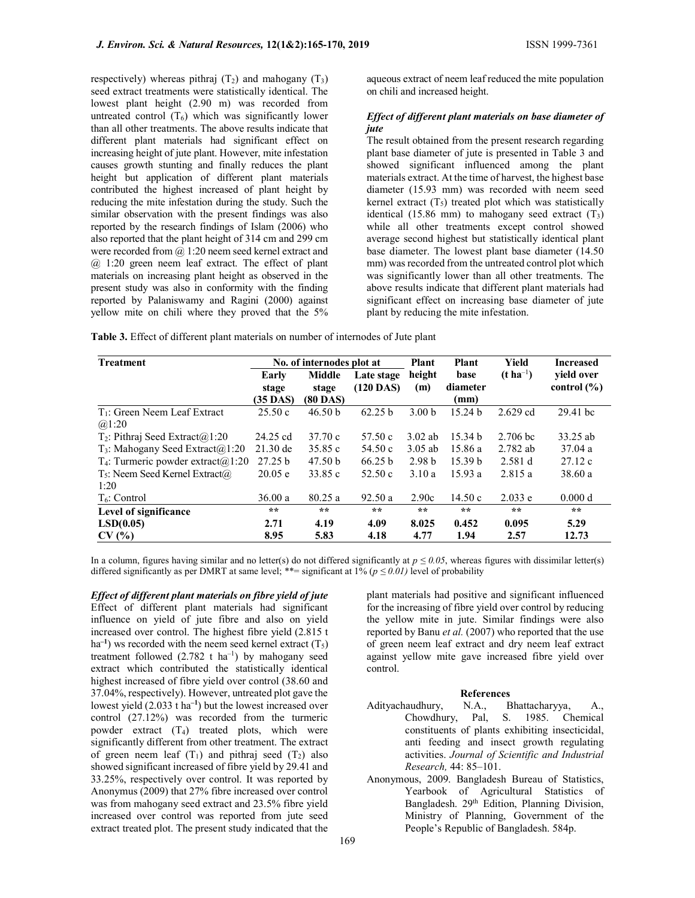respectively) whereas pithraj  $(T_2)$  and mahogany  $(T_3)$ seed extract treatments were statistically identical. The lowest plant height (2.90 m) was recorded from untreated control  $(T_6)$  which was significantly lower than all other treatments. The above results indicate that different plant materials had significant effect on increasing height of jute plant. However, mite infestation causes growth stunting and finally reduces the plant height but application of different plant materials contributed the highest increased of plant height by reducing the mite infestation during the study. Such the similar observation with the present findings was also reported by the research findings of Islam (2006) who also reported that the plant height of 314 cm and 299 cm were recorded from @ 1:20 neem seed kernel extract and @ 1:20 green neem leaf extract. The effect of plant materials on increasing plant height as observed in the present study was also in conformity with the finding reported by Palaniswamy and Ragini (2000) against yellow mite on chili where they proved that the 5%

aqueous extract of neem leaf reduced the mite population on chili and increased height.

### Effect of different plant materials on base diameter of jute

The result obtained from the present research regarding plant base diameter of jute is presented in Table 3 and showed significant influenced among the plant materials extract. At the time of harvest, the highest base diameter (15.93 mm) was recorded with neem seed kernel extract  $(T_5)$  treated plot which was statistically identical (15.86 mm) to mahogany seed extract  $(T_3)$ while all other treatments except control showed average second highest but statistically identical plant base diameter. The lowest plant base diameter (14.50 mm) was recorded from the untreated control plot which was significantly lower than all other treatments. The above results indicate that different plant materials had significant effect on increasing base diameter of jute plant by reducing the mite infestation.

Table 3. Effect of different plant materials on number of internodes of Jute plant

| <b>Treatment</b>                               | No. of internodes plot at |            |              | <b>Plant</b><br><b>Plant</b> |                    | Yield            | <b>Increased</b> |
|------------------------------------------------|---------------------------|------------|--------------|------------------------------|--------------------|------------------|------------------|
|                                                | Early                     | Middle     | Late stage   | height                       | base               | $(t \, ha^{-1})$ | vield over       |
|                                                | stage                     | stage      | $(120$ DAS)  | (m)                          | diameter           |                  | control $(\% )$  |
|                                                | (35 DAS)                  | $(80$ DAS) |              |                              | (mm)               |                  |                  |
| T <sub>1</sub> : Green Neem Leaf Extract       | 25.50c                    | 46.50 b    | 62.25 b      | 3.00 <sub>b</sub>            | 15.24 <sub>b</sub> | $2.629$ cd       | 29.41 bc         |
| @1:20                                          |                           |            |              |                              |                    |                  |                  |
| $T_2$ : Pithraj Seed Extract $(a)$ 1:20        | 24.25 cd                  | 37.70c     | 57.50c       | $3.02$ ab                    | 15.34 <sub>b</sub> | $2.706$ bc       | 33.25 ab         |
| T <sub>3</sub> : Mahogany Seed Extract $@1:20$ | $21.30 \text{ de}$        | 35.85c     | 54.50c       | $3.05$ ab                    | 15.86a             | $2.782$ ab       | 37.04a           |
| $T_4$ : Turmeric powder extract $(21:20)$      | 27.25 b                   | 47.50 b    | 66.25 b      | 2.98 <sub>b</sub>            | 15.39 <sub>b</sub> | 2.581d           | 27.12c           |
| $T_5$ : Neem Seed Kernel Extract $\omega$      | 20.05 e                   | 33.85 c    | 52.50c       | 3.10a                        | 15.93a             | 2.815a           | 38.60a           |
| 1:20                                           |                           |            |              |                              |                    |                  |                  |
| T <sub>6</sub> : Control                       | 36.00a                    | 80.25a     | 92.50a       | 2.90c                        | 14.50 c            | 2.033 e          | 0.000 d          |
| Level of significance                          | $* *$                     | $* *$      | $\star\star$ | $\star$ $\star$              | $* *$              | $**$             | $\star\star$     |
| LSD(0.05)                                      | 2.71                      | 4.19       | 4.09         | 8.025                        | 0.452              | 0.095            | 5.29             |
| CV(%)                                          | 8.95                      | 5.83       | 4.18         | 4.77                         | 1.94               | 2.57             | 12.73            |

In a column, figures having similar and no letter(s) do not differed significantly at  $p \le 0.05$ , whereas figures with dissimilar letter(s) differed significantly as per DMRT at same level; \*\*= significant at 1% ( $p \le 0.01$ ) level of probability

Effect of different plant materials on fibre yield of jute Effect of different plant materials had significant influence on yield of jute fibre and also on yield increased over control. The highest fibre yield (2.815 t ha<sup>-1</sup>) ws recorded with the neem seed kernel extract  $(T_5)$ treatment followed  $(2.782 \text{ t} \text{ ha}^{-1})$  by mahogany seed extract which contributed the statistically identical highest increased of fibre yield over control (38.60 and 37.04%, respectively). However, untreated plot gave the lowest yield (2.033 t ha–1) but the lowest increased over control (27.12%) was recorded from the turmeric powder extract  $(T_4)$  treated plots, which were significantly different from other treatment. The extract of green neem leaf  $(T_1)$  and pithraj seed  $(T_2)$  also showed significant increased of fibre yield by 29.41 and 33.25%, respectively over control. It was reported by Anonymus (2009) that 27% fibre increased over control was from mahogany seed extract and 23.5% fibre yield increased over control was reported from jute seed extract treated plot. The present study indicated that the

plant materials had positive and significant influenced for the increasing of fibre yield over control by reducing the yellow mite in jute. Similar findings were also reported by Banu et al. (2007) who reported that the use of green neem leaf extract and dry neem leaf extract against yellow mite gave increased fibre yield over control.

#### References

- Adityachaudhury, N.A., Bhattacharyya, A., Chowdhury, Pal, S. 1985. Chemical constituents of plants exhibiting insecticidal, anti feeding and insect growth regulating activities. Journal of Scientific and Industrial Research, 44: 85–101.
- Anonymous, 2009. Bangladesh Bureau of Statistics, Yearbook of Agricultural Statistics of Bangladesh. 29<sup>th</sup> Edition, Planning Division, Ministry of Planning, Government of the People's Republic of Bangladesh. 584p.